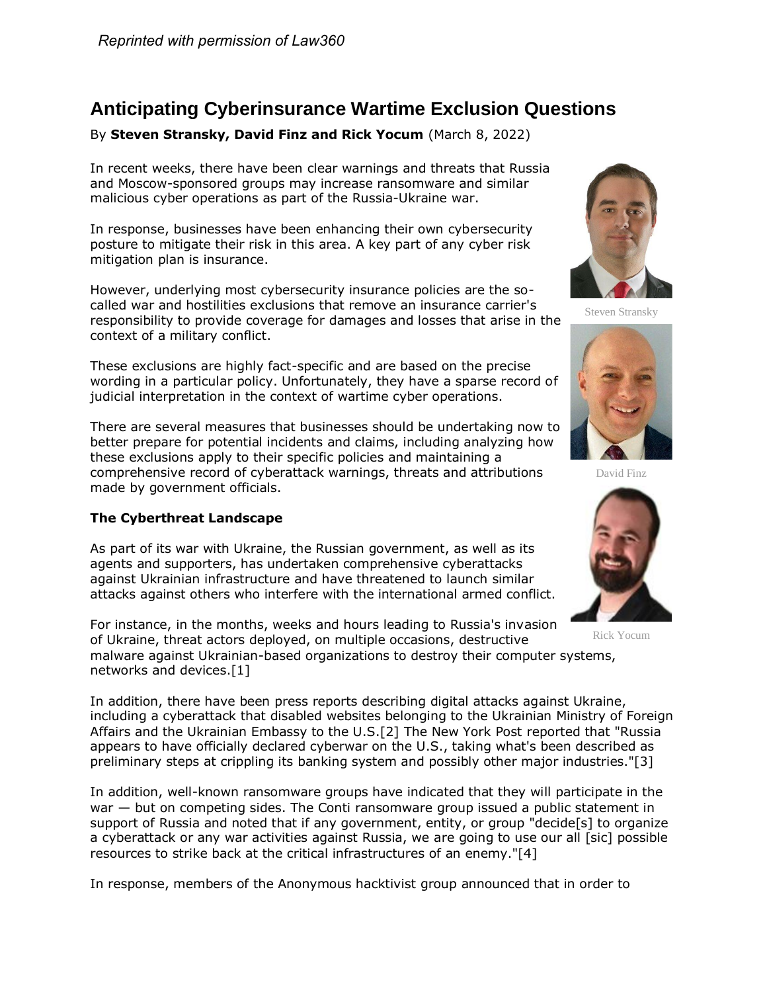# **Anticipating Cyberinsurance Wartime Exclusion Questions**

By **Steven Stransky, David Finz and Rick Yocum** (March 8, 2022)

In recent weeks, there have been clear warnings and threats that Russia and Moscow-sponsored groups may increase ransomware and similar malicious cyber operations as part of the Russia-Ukraine war.

In response, businesses have been enhancing their own cybersecurity posture to mitigate their risk in this area. A key part of any cyber risk mitigation plan is insurance.

However, underlying most cybersecurity insurance policies are the socalled war and hostilities exclusions that remove an insurance carrier's responsibility to provide coverage for damages and losses that arise in the context of a military conflict.

These exclusions are highly fact-specific and are based on the precise wording in a particular policy. Unfortunately, they have a sparse record of judicial interpretation in the context of wartime cyber operations.

There are several measures that businesses should be undertaking now to better prepare for potential incidents and claims, including analyzing how these exclusions apply to their specific policies and maintaining a comprehensive record of cyberattack warnings, threats and attributions made by government officials.

## **The Cyberthreat Landscape**

As part of its war with Ukraine, the Russian government, as well as its agents and supporters, has undertaken comprehensive cyberattacks against Ukrainian infrastructure and have threatened to launch similar attacks against others who interfere with the international armed conflict.

For instance, in the months, weeks and hours leading to Russia's invasion of Ukraine, threat actors deployed, on multiple occasions, destructive malware against Ukrainian-based organizations to destroy their computer systems, networks and devices.[1]

In addition, there have been press reports describing digital attacks against Ukraine, including a cyberattack that disabled websites belonging to the Ukrainian Ministry of Foreign Affairs and the Ukrainian Embassy to the U.S.[2] [The New York Post](https://www.law360.com/companies/new-york-post) reported that "Russia appears to have officially declared cyberwar on the U.S., taking what's been described as preliminary steps at crippling its banking system and possibly other major industries."[3]

In addition, well-known ransomware groups have indicated that they will participate in the war — but on competing sides. The Conti ransomware group issued a public statement in support of Russia and noted that if any government, entity, or group "decide[s] to organize a cyberattack or any war activities against Russia, we are going to use our all [sic] possible resources to strike back at the critical infrastructures of an enemy."[4]

In response, members of the Anonymous hacktivist group announced that in order to



Steven Stransky



David Finz



Rick Yocum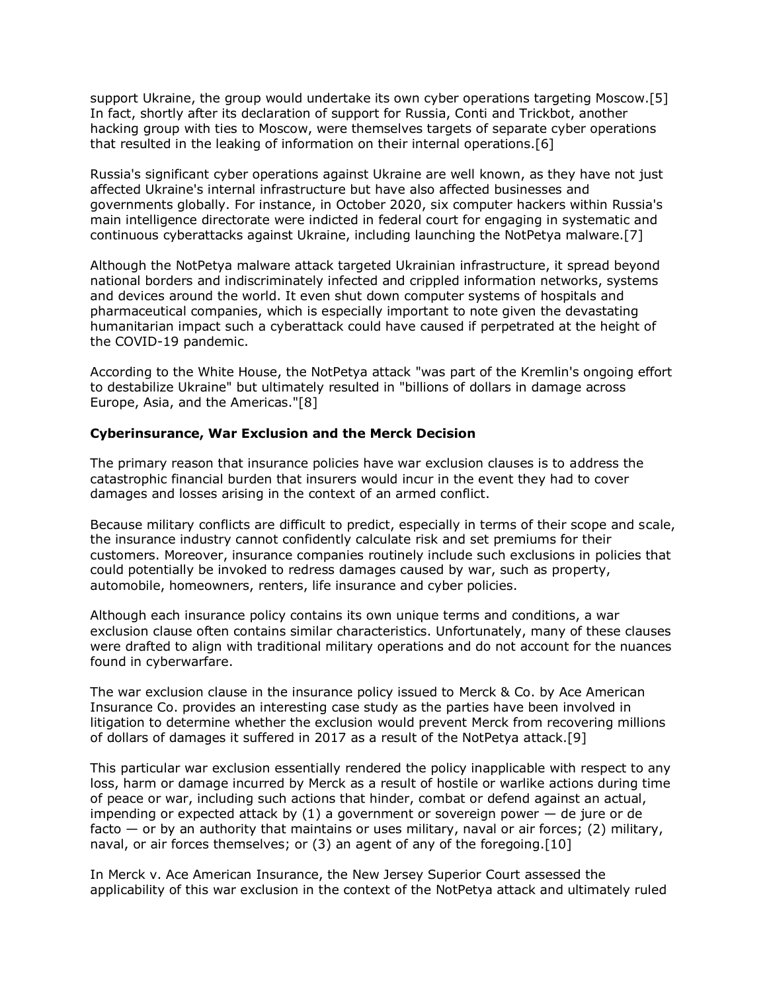support Ukraine, the group would undertake its own cyber operations targeting Moscow.[5] In fact, shortly after its declaration of support for Russia, Conti and Trickbot, another hacking group with ties to Moscow, were themselves targets of separate cyber operations that resulted in the leaking of information on their internal operations.[6]

Russia's significant cyber operations against Ukraine are well known, as they have not just affected Ukraine's internal infrastructure but have also affected businesses and governments globally. For instance, in October 2020, six computer hackers within Russia's main intelligence directorate were indicted in federal court for engaging in systematic and continuous cyberattacks against Ukraine, including launching the NotPetya malware.[7]

Although the NotPetya malware attack targeted Ukrainian infrastructure, it spread beyond national borders and indiscriminately infected and crippled information networks, systems and devices around the world. It even shut down computer systems of hospitals and pharmaceutical companies, which is especially important to note given the devastating humanitarian impact such a cyberattack could have caused if perpetrated at the height of the COVID-19 pandemic.

According to the White House, the NotPetya attack "was part of the Kremlin's ongoing effort to destabilize Ukraine" but ultimately resulted in "billions of dollars in damage across Europe, Asia, and the Americas."[8]

### **Cyberinsurance, War Exclusion and the Merck Decision**

The primary reason that insurance policies have war exclusion clauses is to address the catastrophic financial burden that insurers would incur in the event they had to cover damages and losses arising in the context of an armed conflict.

Because military conflicts are difficult to predict, especially in terms of their scope and scale, the insurance industry cannot confidently calculate risk and set premiums for their customers. Moreover, insurance companies routinely include such exclusions in policies that could potentially be invoked to redress damages caused by war, such as property, automobile, homeowners, renters, life insurance and cyber policies.

Although each insurance policy contains its own unique terms and conditions, a war exclusion clause often contains similar characteristics. Unfortunately, many of these clauses were drafted to align with traditional military operations and do not account for the nuances found in cyberwarfare.

The war exclusion clause in the insurance policy issued to [Merck & Co.](https://www.law360.com/companies/merck-co-inc) by Ace American Insurance Co. provides an interesting case study as the parties have been involved in litigation to determine whether the exclusion would prevent Merck from recovering millions of dollars of damages it suffered in 2017 as a result of the NotPetya attack.[9]

This particular war exclusion essentially rendered the policy inapplicable with respect to any loss, harm or damage incurred by Merck as a result of hostile or warlike actions during time of peace or war, including such actions that hinder, combat or defend against an actual, impending or expected attack by  $(1)$  a government or sovereign power  $-$  de jure or de facto — or by an authority that maintains or uses military, naval or air forces; (2) military, naval, or air forces themselves; or (3) an agent of any of the foregoing.[10]

In Merck v. Ace American Insurance, the New Jersey Superior Court assessed the applicability of this war exclusion in the context of the NotPetya attack and ultimately ruled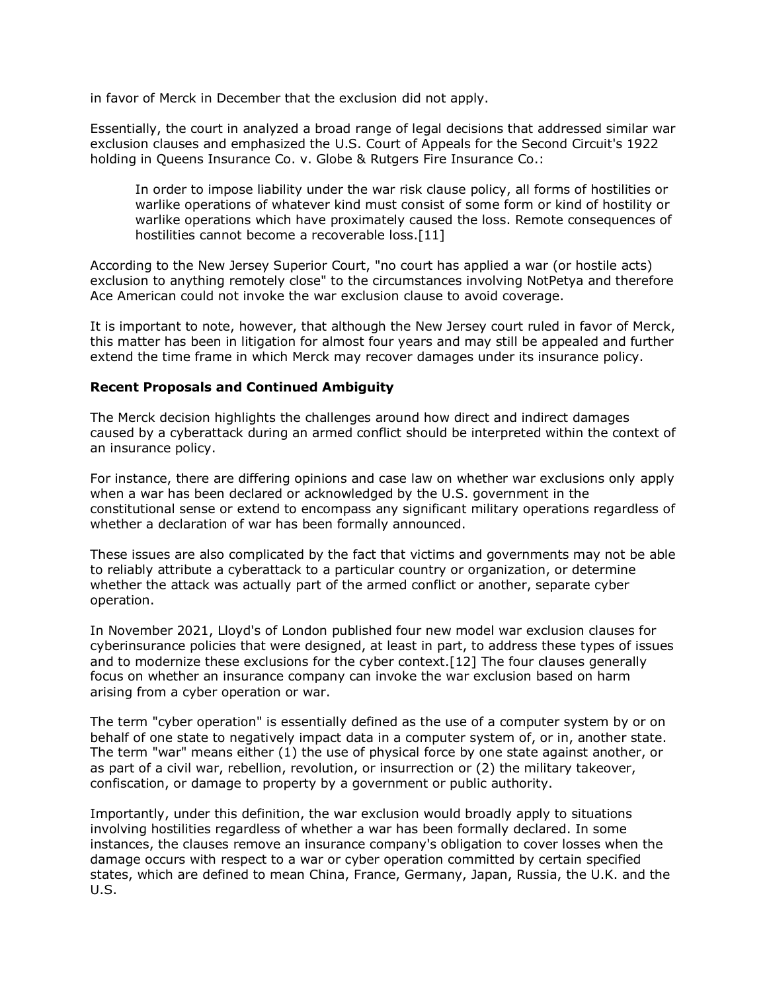in favor of Merck in December that the exclusion did not apply.

Essentially, the court in analyzed a broad range of legal decisions that addressed similar war exclusion clauses and emphasized the [U.S. Court of Appeals for the Second Circuit'](https://www.law360.com/agencies/u-s-court-of-appeals-for-the-second-circuit)s 1922 holding in Queens Insurance Co. v. Globe & Rutgers Fire Insurance Co.:

In order to impose liability under the war risk clause policy, all forms of hostilities or warlike operations of whatever kind must consist of some form or kind of hostility or warlike operations which have proximately caused the loss. Remote consequences of hostilities cannot become a recoverable loss.[11]

According to the New Jersey Superior Court, "no court has applied a war (or hostile acts) exclusion to anything remotely close" to the circumstances involving NotPetya and therefore Ace American could not invoke the war exclusion clause to avoid coverage.

It is important to note, however, that although the New Jersey court ruled in favor of Merck, this matter has been in litigation for almost four years and may still be appealed and further extend the time frame in which Merck may recover damages under its insurance policy.

### **Recent Proposals and Continued Ambiguity**

The Merck decision highlights the challenges around how direct and indirect damages caused by a cyberattack during an armed conflict should be interpreted within the context of an insurance policy.

For instance, there are differing opinions and case law on whether war exclusions only apply when a war has been declared or acknowledged by the U.S. government in the constitutional sense or extend to encompass any significant military operations regardless of whether a declaration of war has been formally announced.

These issues are also complicated by the fact that victims and governments may not be able to reliably attribute a cyberattack to a particular country or organization, or determine whether the attack was actually part of the armed conflict or another, separate cyber operation.

In November 2021, Lloyd's of London published four new model war exclusion clauses for cyberinsurance policies that were designed, at least in part, to address these types of issues and to modernize these exclusions for the cyber context.[12] The four clauses generally focus on whether an insurance company can invoke the war exclusion based on harm arising from a cyber operation or war.

The term "cyber operation" is essentially defined as the use of a computer system by or on behalf of one state to negatively impact data in a computer system of, or in, another state. The term "war" means either (1) the use of physical force by one state against another, or as part of a civil war, rebellion, revolution, or insurrection or (2) the military takeover, confiscation, or damage to property by a government or public authority.

Importantly, under this definition, the war exclusion would broadly apply to situations involving hostilities regardless of whether a war has been formally declared. In some instances, the clauses remove an insurance company's obligation to cover losses when the damage occurs with respect to a war or cyber operation committed by certain specified states, which are defined to mean China, France, Germany, Japan, Russia, the U.K. and the U.S.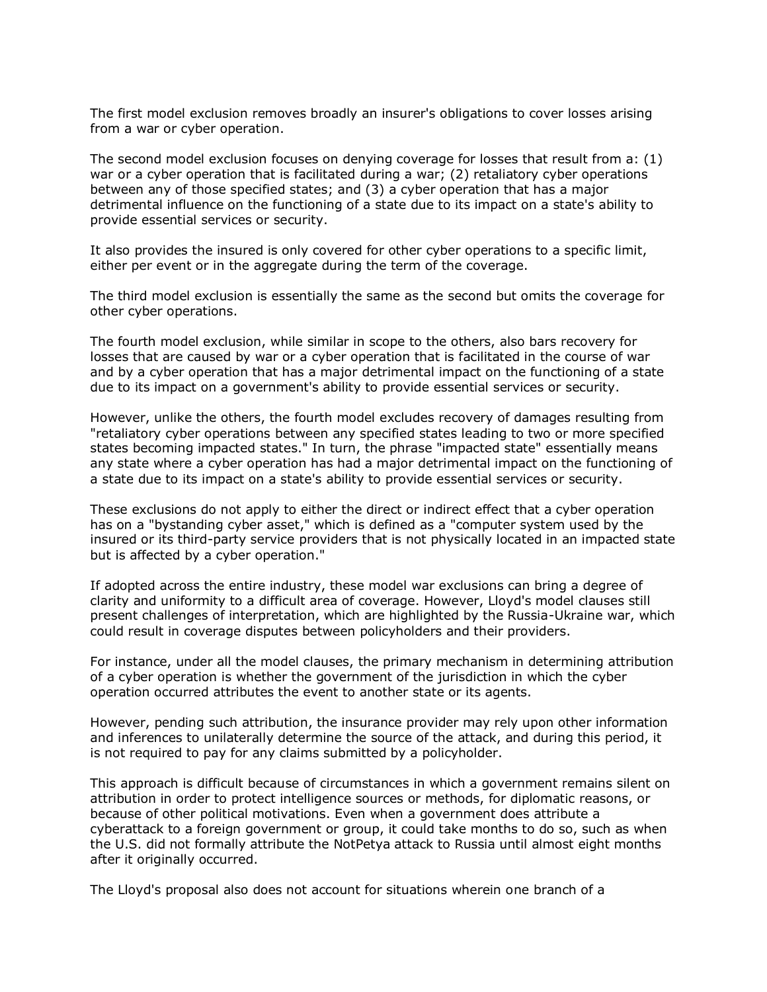The first model exclusion removes broadly an insurer's obligations to cover losses arising from a war or cyber operation.

The second model exclusion focuses on denying coverage for losses that result from a: (1) war or a cyber operation that is facilitated during a war; (2) retaliatory cyber operations between any of those specified states; and (3) a cyber operation that has a major detrimental influence on the functioning of a state due to its impact on a state's ability to provide essential services or security.

It also provides the insured is only covered for other cyber operations to a specific limit, either per event or in the aggregate during the term of the coverage.

The third model exclusion is essentially the same as the second but omits the coverage for other cyber operations.

The fourth model exclusion, while similar in scope to the others, also bars recovery for losses that are caused by war or a cyber operation that is facilitated in the course of war and by a cyber operation that has a major detrimental impact on the functioning of a state due to its impact on a government's ability to provide essential services or security.

However, unlike the others, the fourth model excludes recovery of damages resulting from "retaliatory cyber operations between any specified states leading to two or more specified states becoming impacted states." In turn, the phrase "impacted state" essentially means any state where a cyber operation has had a major detrimental impact on the functioning of a state due to its impact on a state's ability to provide essential services or security.

These exclusions do not apply to either the direct or indirect effect that a cyber operation has on a "bystanding cyber asset," which is defined as a "computer system used by the insured or its third-party service providers that is not physically located in an impacted state but is affected by a cyber operation."

If adopted across the entire industry, these model war exclusions can bring a degree of clarity and uniformity to a difficult area of coverage. However, Lloyd's model clauses still present challenges of interpretation, which are highlighted by the Russia-Ukraine war, which could result in coverage disputes between policyholders and their providers.

For instance, under all the model clauses, the primary mechanism in determining attribution of a cyber operation is whether the government of the jurisdiction in which the cyber operation occurred attributes the event to another state or its agents.

However, pending such attribution, the insurance provider may rely upon other information and inferences to unilaterally determine the source of the attack, and during this period, it is not required to pay for any claims submitted by a policyholder.

This approach is difficult because of circumstances in which a government remains silent on attribution in order to protect intelligence sources or methods, for diplomatic reasons, or because of other political motivations. Even when a government does attribute a cyberattack to a foreign government or group, it could take months to do so, such as when the U.S. did not formally attribute the NotPetya attack to Russia until almost eight months after it originally occurred.

The Lloyd's proposal also does not account for situations wherein one branch of a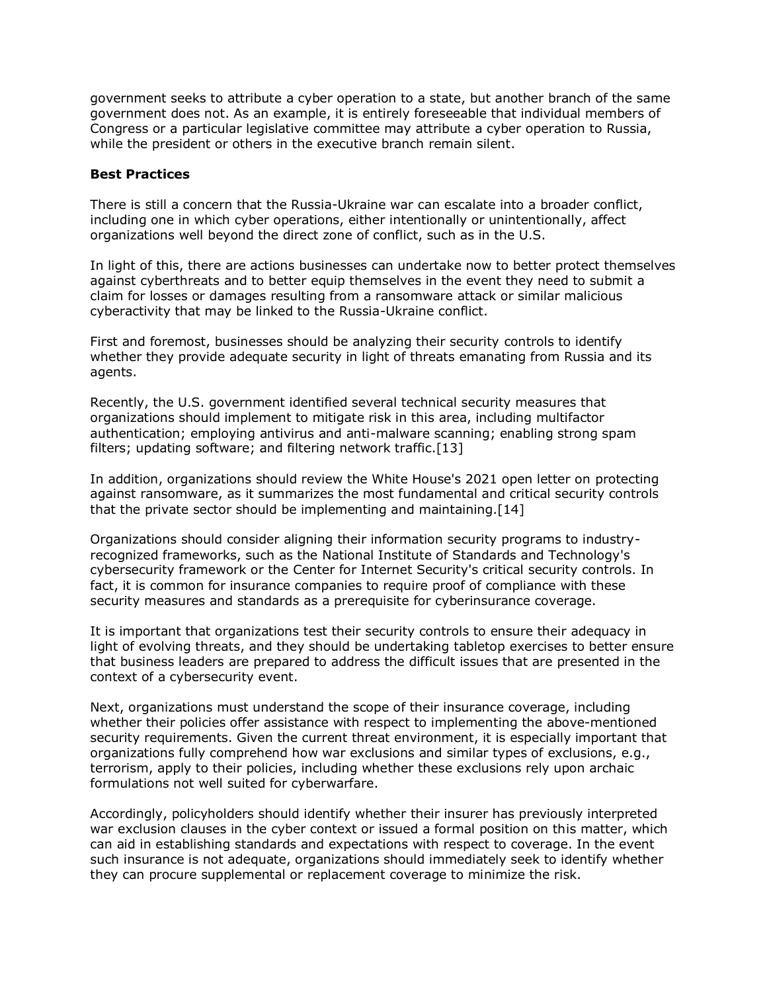government seeks to attribute a cyber operation to a state, but another branch of the same government does not. As an example, it is entirely foreseeable that individual members of Congress or a particular legislative committee may attribute a cyber operation to Russia, while the president or others in the executive branch remain silent.

#### **Best Practices**

There is still a concern that the Russia-Ukraine war can escalate into a broader conflict, including one in which cyber operations, either intentionally or unintentionally, affect organizations well beyond the direct zone of conflict, such as in the U.S.

In light of this, there are actions businesses can undertake now to better protect themselves against cyberthreats and to better equip themselves in the event they need to submit a claim for losses or damages resulting from a ransomware attack or similar malicious cyberactivity that may be linked to the Russia-Ukraine conflict.

First and foremost, businesses should be analyzing their security controls to identify whether they provide adequate security in light of threats emanating from Russia and its agents.

Recently, the U.S. government identified several technical security measures that organizations should implement to mitigate risk in this area, including multifactor authentication; employing antivirus and anti-malware scanning; enabling strong spam filters; updating software; and filtering network traffic.[13]

In addition, organizations should review the White House's 2021 open letter on protecting against ransomware, as it summarizes the most fundamental and critical security controls that the private sector should be implementing and maintaining.[14]

Organizations should consider aligning their information security programs to industryrecognized frameworks, such as the [National Institute of Standards and Technology'](https://www.law360.com/agencies/national-institute-of-standards-and-technology)s cybersecurity framework or the [Center for Internet Security'](https://www.law360.com/companies/center-for-internet-security)s critical security controls. In fact, it is common for insurance companies to require proof of compliance with these security measures and standards as a prerequisite for cyberinsurance coverage.

It is important that organizations test their security controls to ensure their adequacy in light of evolving threats, and they should be undertaking tabletop exercises to better ensure that business leaders are prepared to address the difficult issues that are presented in the context of a cybersecurity event.

Next, organizations must understand the scope of their insurance coverage, including whether their policies offer assistance with respect to implementing the above-mentioned security requirements. Given the current threat environment, it is especially important that organizations fully comprehend how war exclusions and similar types of exclusions, e.g., terrorism, apply to their policies, including whether these exclusions rely upon archaic formulations not well suited for cyberwarfare.

Accordingly, policyholders should identify whether their insurer has previously interpreted war exclusion clauses in the cyber context or issued a formal position on this matter, which can aid in establishing standards and expectations with respect to coverage. In the event such insurance is not adequate, organizations should immediately seek to identify whether they can procure supplemental or replacement coverage to minimize the risk.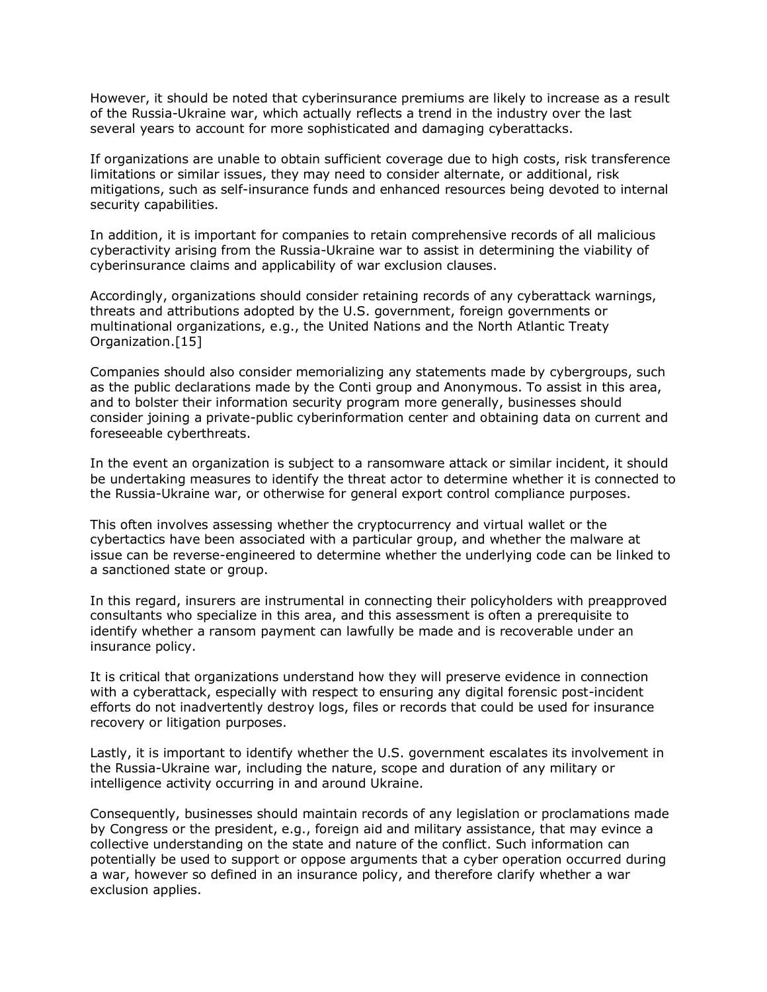However, it should be noted that cyberinsurance premiums are likely to increase as a result of the Russia-Ukraine war, which actually reflects a trend in the industry over the last several years to account for more sophisticated and damaging cyberattacks.

If organizations are unable to obtain sufficient coverage due to high costs, risk transference limitations or similar issues, they may need to consider alternate, or additional, risk mitigations, such as self-insurance funds and enhanced resources being devoted to internal security capabilities.

In addition, it is important for companies to retain comprehensive records of all malicious cyberactivity arising from the Russia-Ukraine war to assist in determining the viability of cyberinsurance claims and applicability of war exclusion clauses.

Accordingly, organizations should consider retaining records of any cyberattack warnings, threats and attributions adopted by the U.S. government, foreign governments or multinational organizations, e.g., the [United Nations](https://www.law360.com/agencies/united-nations) and the [North Atlantic Treaty](https://www.law360.com/agencies/nato)  [Organization.](https://www.law360.com/agencies/nato)[15]

Companies should also consider memorializing any statements made by cybergroups, such as the public declarations made by the Conti group and Anonymous. To assist in this area, and to bolster their information security program more generally, businesses should consider joining a private-public cyberinformation center and obtaining data on current and foreseeable cyberthreats.

In the event an organization is subject to a ransomware attack or similar incident, it should be undertaking measures to identify the threat actor to determine whether it is connected to the Russia-Ukraine war, or otherwise for general export control compliance purposes.

This often involves assessing whether the cryptocurrency and virtual wallet or the cybertactics have been associated with a particular group, and whether the malware at issue can be reverse-engineered to determine whether the underlying code can be linked to a sanctioned state or group.

In this regard, insurers are instrumental in connecting their policyholders with preapproved consultants who specialize in this area, and this assessment is often a prerequisite to identify whether a ransom payment can lawfully be made and is recoverable under an insurance policy.

It is critical that organizations understand how they will preserve evidence in connection with a cyberattack, especially with respect to ensuring any digital forensic post-incident efforts do not inadvertently destroy logs, files or records that could be used for insurance recovery or litigation purposes.

Lastly, it is important to identify whether the U.S. government escalates its involvement in the Russia-Ukraine war, including the nature, scope and duration of any military or intelligence activity occurring in and around Ukraine.

Consequently, businesses should maintain records of any legislation or proclamations made by Congress or the president, e.g., foreign aid and military assistance, that may evince a collective understanding on the state and nature of the conflict. Such information can potentially be used to support or oppose arguments that a cyber operation occurred during a war, however so defined in an insurance policy, and therefore clarify whether a war exclusion applies.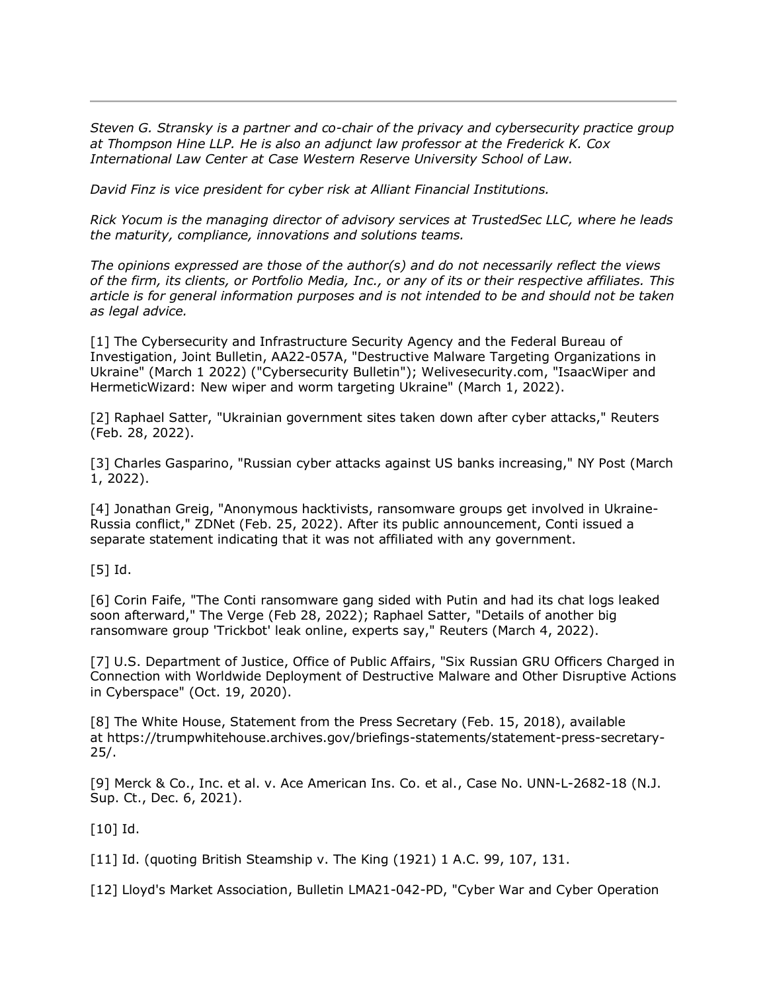*[Steven G. Stransky](https://www.thompsonhine.com/professionals/stransky-steven) is a partner and co-chair of the privacy and cybersecurity practice group at [Thompson Hine LLP.](https://www.law360.com/firms/thompson-hine) He is also an adjunct law professor at the Frederick K. Cox International Law Center at Case Western Reserve University School of Law.*

*David Finz is vice president for cyber risk at Alliant Financial Institutions.*

*[Rick Yocum](https://www.trustedsec.com/team/rick-yocum/) is the managing director of advisory services at TrustedSec LLC, where he leads the maturity, compliance, innovations and solutions teams.*

*The opinions expressed are those of the author(s) and do not necessarily reflect the views of the firm, its clients, or Portfolio Media, Inc., or any of its or their respective affiliates. This article is for general information purposes and is not intended to be and should not be taken as legal advice.*

[1] The Cybersecurity and Infrastructure Security Agency and the [Federal Bureau of](https://www.law360.com/agencies/federal-bureau-of-investigation)  [Investigation,](https://www.law360.com/agencies/federal-bureau-of-investigation) Joint Bulletin, AA22-057A, "Destructive Malware Targeting Organizations in Ukraine" (March 1 2022) ("Cybersecurity Bulletin"); Welivesecurity.com, "IsaacWiper and HermeticWizard: New wiper and worm targeting Ukraine" (March 1, 2022).

[2] Raphael Satter, "Ukrainian government sites taken down after cyber attacks," Reuters (Feb. 28, 2022).

[3] Charles Gasparino, "Russian cyber attacks against US banks increasing," NY Post (March 1, 2022).

[4] Jonathan Greig, "Anonymous hacktivists, ransomware groups get involved in Ukraine-Russia conflict," ZDNet (Feb. 25, 2022). After its public announcement, Conti issued a separate statement indicating that it was not affiliated with any government.

[5] Id.

[6] Corin Faife, "The Conti ransomware gang sided with Putin and had its chat logs leaked soon afterward," The Verge (Feb 28, 2022); Raphael Satter, "Details of another big ransomware group 'Trickbot' leak online, experts say," Reuters (March 4, 2022).

[7] [U.S. Department of Justice,](https://www.law360.com/agencies/u-s-department-of-justice) [Office of Public Affairs,](https://www.law360.com/agencies/u-s-department-of-the-interior) "Six Russian GRU Officers Charged in Connection with Worldwide Deployment of Destructive Malware and Other Disruptive Actions in Cyberspace" (Oct. 19, 2020).

[8] [The White House,](https://www.law360.com/agencies/executive-office-of-the-president) Statement from the Press Secretary (Feb. 15, 2018), available at [https://trumpwhitehouse.archives.gov/briefings-statements/statement-press-secretary-](https://trumpwhitehouse.archives.gov/briefings-statements/statement-press-secretary-25/)[25/.](https://trumpwhitehouse.archives.gov/briefings-statements/statement-press-secretary-25/)

[9] Merck & Co., Inc. et al. v. Ace American Ins. Co. et al., Case No. UNN-L-2682-18 (N.J. Sup. Ct., Dec. 6, 2021).

[10] Id.

[11] Id. (quoting British Steamship v. The King (1921) 1 A.C. 99, 107, 131.

[12] [Lloyd's Market Association,](https://www.law360.com/companies/lloyd-s-market-association) Bulletin LMA21-042-PD, "Cyber War and Cyber Operation